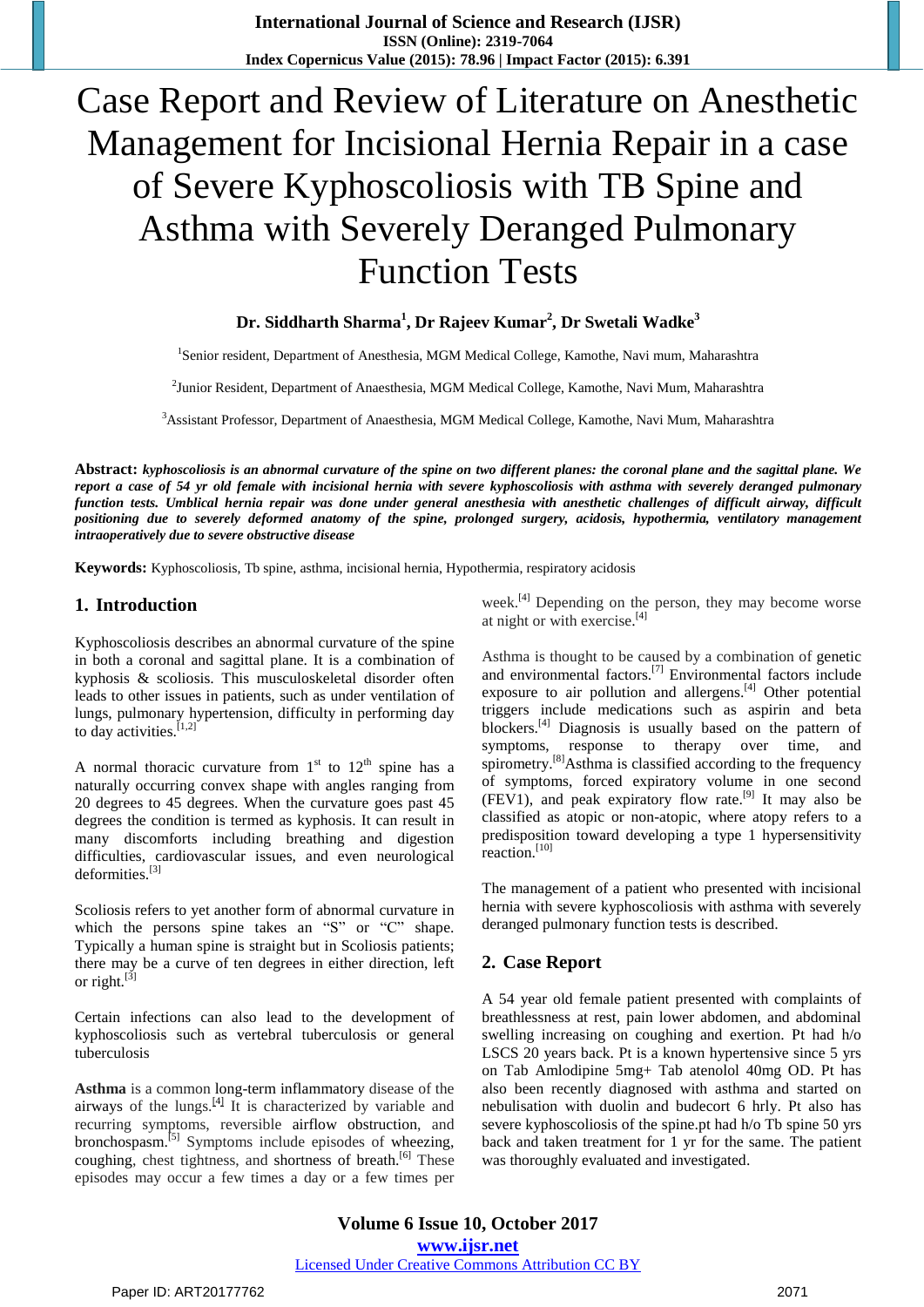# Case Report and Review of Literature on Anesthetic Management for Incisional Hernia Repair in a case of Severe Kyphoscoliosis with TB Spine and Asthma with Severely Deranged Pulmonary Function Tests

## **Dr. Siddharth Sharma<sup>1</sup> , Dr Rajeev Kumar<sup>2</sup> , Dr Swetali Wadke<sup>3</sup>**

<sup>1</sup>Senior resident, Department of Anesthesia, MGM Medical College, Kamothe, Navi mum, Maharashtra

<sup>2</sup>Junior Resident, Department of Anaesthesia, MGM Medical College, Kamothe, Navi Mum, Maharashtra

<sup>3</sup>Assistant Professor, Department of Anaesthesia, MGM Medical College, Kamothe, Navi Mum, Maharashtra

Abstract: kyphoscoliosis is an abnormal curvature of the spine on two different planes: the coronal plane and the sagittal plane. We report a case of 54 yr old female with incisional hernia with severe kyphoscoliosis with asthma with severely deranged pulmonary function tests. Umblical hernia repair was done under general anesthesia with anesthetic challenges of difficult airway, difficult positioning due to severely deformed anatomy of the spine, prolonged surgery, acidosis, hypothermia, ventilatory management *intraoperatively due to severe obstructive disease*

**Keywords:** Kyphoscoliosis, Tb spine, asthma, incisional hernia, Hypothermia, respiratory acidosis

#### **1. Introduction**

Kyphoscoliosis describes an abnormal curvature of the spine in both a coronal and sagittal plane. It is a combination of kyphosis & scoliosis. This musculoskeletal disorder often leads to other issues in patients, such as under ventilation of lungs, pulmonary hypertension, difficulty in performing day to day activities. $^{[1,2]}$ 

A normal thoracic curvature from  $1<sup>st</sup>$  to  $12<sup>th</sup>$  spine has a naturally occurring convex shape with angles ranging from 20 degrees to 45 degrees. When the curvature goes past 45 degrees the condition is termed as kyphosis. It can result in many discomforts including breathing and digestion difficulties, cardiovascular issues, and even neurological deformities.<sup>[3]</sup>

Scoliosis refers to yet another form of abnormal curvature in which the persons spine takes an "S" or "C" shape. Typically a human spine is straight but in Scoliosis patients; there may be a curve of ten degrees in either direction, left or right. $^{[3]}$ 

Certain infections can also lead to the development of kyphoscoliosis such as vertebral tuberculosis or general tuberculosis

**Asthma** is a common [long-term](https://en.wikipedia.org/wiki/Chronic_(medicine)) [inflammatory](https://en.wikipedia.org/wiki/Inflammation) disease of the [airways](https://en.wikipedia.org/wiki/Bronchi) of the lungs. $^{[4]}$  $^{[4]}$  $^{[4]}$  It is characterized by variable and recurring symptoms, reversible airflow [obstruction,](https://en.wikipedia.org/wiki/Airway_obstruction) and [bronchospasm.](https://en.wikipedia.org/wiki/Bronchospasm)<sup>[\[5\]](https://en.wikipedia.org/wiki/Asthma#cite_note-NHLBI07p11-12-10)</sup> Symptoms include episodes of [wheezing,](https://en.wikipedia.org/wiki/Wheezing) [coughing,](https://en.wikipedia.org/wiki/Coughing) chest tightness, and [shortness](https://en.wikipedia.org/wiki/Shortness_of_breath) of breath.<sup>[\[6\]](https://en.wikipedia.org/wiki/Asthma#cite_note-bts2009p4-2)</sup> These episodes may occur a few times a day or a few times per week.[\[4\]](https://en.wikipedia.org/wiki/Asthma#cite_note-WHO2013-3) Depending on the person, they may become worse at night or with exercise. [\[4\]](https://en.wikipedia.org/wiki/Asthma#cite_note-WHO2013-3)

Asthma is thought to be caused by a combination of [genetic](https://en.wikipedia.org/wiki/Genetics) and [environmental](https://en.wikipedia.org/wiki/Environmental_factor) factors.<sup>[\[7\]](https://en.wikipedia.org/wiki/Asthma#cite_note-Martinez2007-4)</sup> Environmental factors include exposure to air [pollution](https://en.wikipedia.org/wiki/Air_pollution) and [allergens.](https://en.wikipedia.org/wiki/Allergen)<sup>[\[4\]](https://en.wikipedia.org/wiki/Asthma#cite_note-WHO2013-3)</sup> Other potential triggers include medications such as [aspirin](https://en.wikipedia.org/wiki/Aspirin) and [beta](https://en.wikipedia.org/wiki/Beta_blockers) [blockers.](https://en.wikipedia.org/wiki/Beta_blockers)<sup>[\[4\]](https://en.wikipedia.org/wiki/Asthma#cite_note-WHO2013-3)</sup> Diagnosis is usually based on the pattern of symptoms, response to therapy over time, and [spirometry.](https://en.wikipedia.org/wiki/Spirometry)<sup>[\[8\]](https://en.wikipedia.org/wiki/Asthma#cite_note-Lemanske2010-5)</sup>Asthma is classified according to the frequency of symptoms, forced [expiratory](https://en.wikipedia.org/wiki/Forced_expiratory_volume_in_one_second) volume in one second  $(FEV1)$ , and peak [expiratory](https://en.wikipedia.org/wiki/Peak_expiratory_flow_rate) flow rate.<sup>[\[9\]](https://en.wikipedia.org/wiki/Asthma#cite_note-Yawn2008-11)</sup> It may also be classified as [atopic](https://en.wikipedia.org/wiki/Atopy) or non-atopic, where atopy refers to a predisposition toward developing a type 1 [hypersensitivity](https://en.wikipedia.org/wiki/Type_1_hypersensitivity) reaction.<sup>[\[10\]](https://en.wikipedia.org/wiki/Asthma#cite_note-RobbinsCotran2010-12)</sup>

The management of a patient who presented with incisional hernia with severe kyphoscoliosis with asthma with severely deranged pulmonary function tests is described.

### **2. Case Report**

A 54 year old female patient presented with complaints of breathlessness at rest, pain lower abdomen, and abdominal swelling increasing on coughing and exertion. Pt had h/o LSCS 20 years back. Pt is a known hypertensive since 5 yrs on Tab Amlodipine 5mg+ Tab atenolol 40mg OD. Pt has also been recently diagnosed with asthma and started on nebulisation with duolin and budecort 6 hrly. Pt also has severe kyphoscoliosis of the spine.pt had h/o Tb spine 50 yrs back and taken treatment for 1 yr for the same. The patient was thoroughly evaluated and investigated.

**Volume 6 Issue 10, October 2017 <www.ijsr.net>** [Licensed Under Creative Commons Attribution CC BY](http://creativecommons.org/licenses/by/4.0/)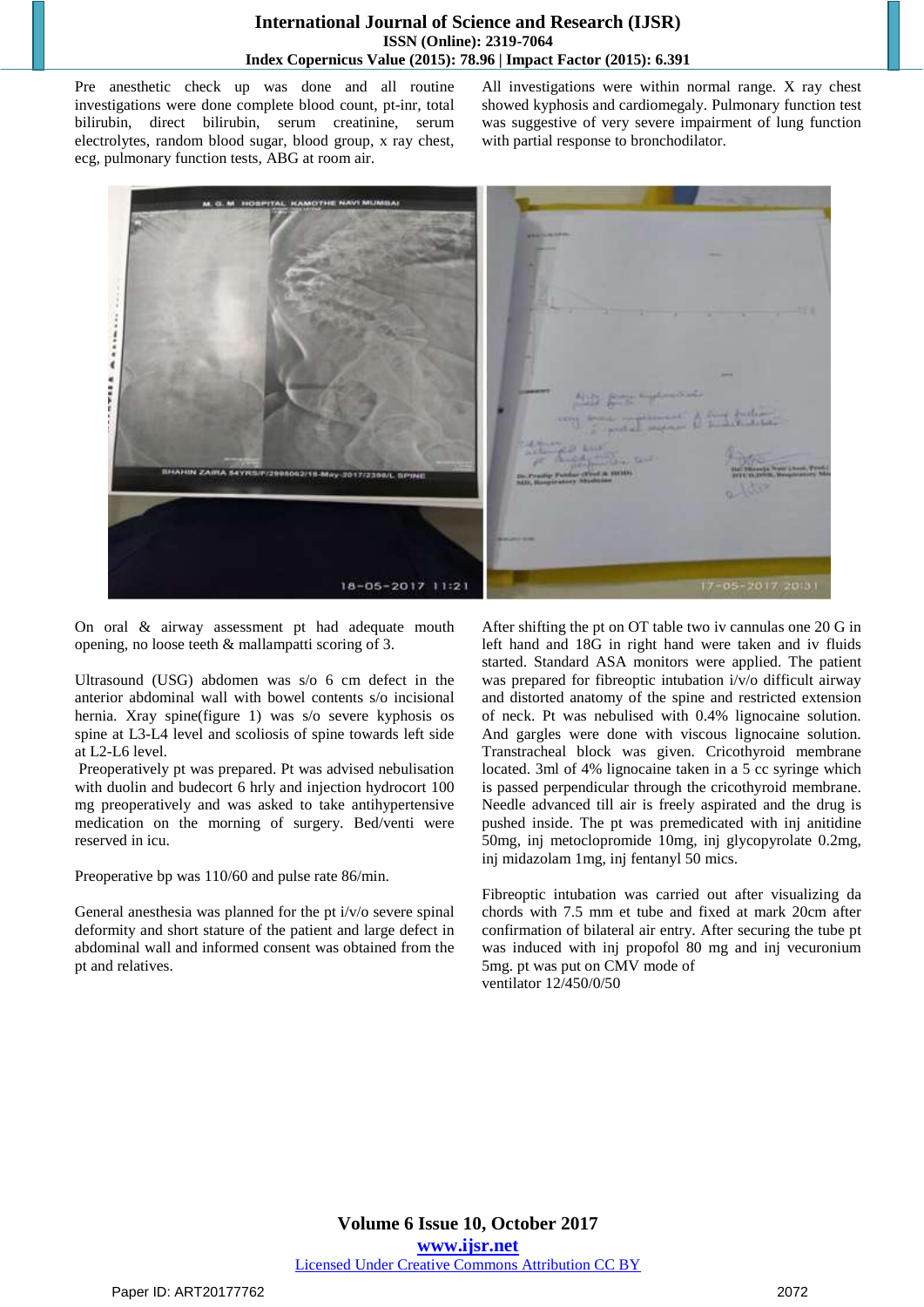Pre anesthetic check up was done and all routine investigations were done complete blood count, pt-inr, total bilirubin, direct bilirubin, serum creatinine, serum electrolytes, random blood sugar, blood group, x ray chest, ecg, pulmonary function tests, ABG at room air.

All investigations were within normal range. X ray chest showed kyphosis and cardiomegaly. Pulmonary function test was suggestive of very severe impairment of lung function with partial response to bronchodilator.



On oral & airway assessment pt had adequate mouth opening, no loose teeth & mallampatti scoring of 3.

Ultrasound (USG) abdomen was s/o 6 cm defect in the anterior abdominal wall with bowel contents s/o incisional hernia. Xray spine(figure 1) was s/o severe kyphosis os spine at L3-L4 level and scoliosis of spine towards left side at L2-L6 level.

Preoperatively pt was prepared. Pt was advised nebulisation with duolin and budecort 6 hrly and injection hydrocort 100 mg preoperatively and was asked to take antihypertensive medication on the morning of surgery. Bed/venti were reserved in icu.

Preoperative bp was 110/60 and pulse rate 86/min.

General anesthesia was planned for the pt i/v/o severe spinal deformity and short stature of the patient and large defect in abdominal wall and informed consent was obtained from the pt and relatives.

After shifting the pt on OT table two iv cannulas one 20 G in left hand and 18G in right hand were taken and iv fluids started. Standard ASA monitors were applied. The patient was prepared for fibreoptic intubation i/v/o difficult airway and distorted anatomy of the spine and restricted extension of neck. Pt was nebulised with 0.4% lignocaine solution. And gargles were done with viscous lignocaine solution. Transtracheal block was given. Cricothyroid membrane located. 3ml of 4% lignocaine taken in a 5 cc syringe which is passed perpendicular through the cricothyroid membrane. Needle advanced till air is freely aspirated and the drug is pushed inside. The pt was premedicated with inj anitidine 50mg, inj metoclopromide 10mg, inj glycopyrolate 0.2mg, inj midazolam 1mg, inj fentanyl 50 mics.

Fibreoptic intubation was carried out after visualizing da chords with 7.5 mm et tube and fixed at mark 20cm after confirmation of bilateral air entry. After securing the tube pt was induced with inj propofol 80 mg and inj vecuronium 5mg. pt was put on CMV mode of ventilator 12/450/0/50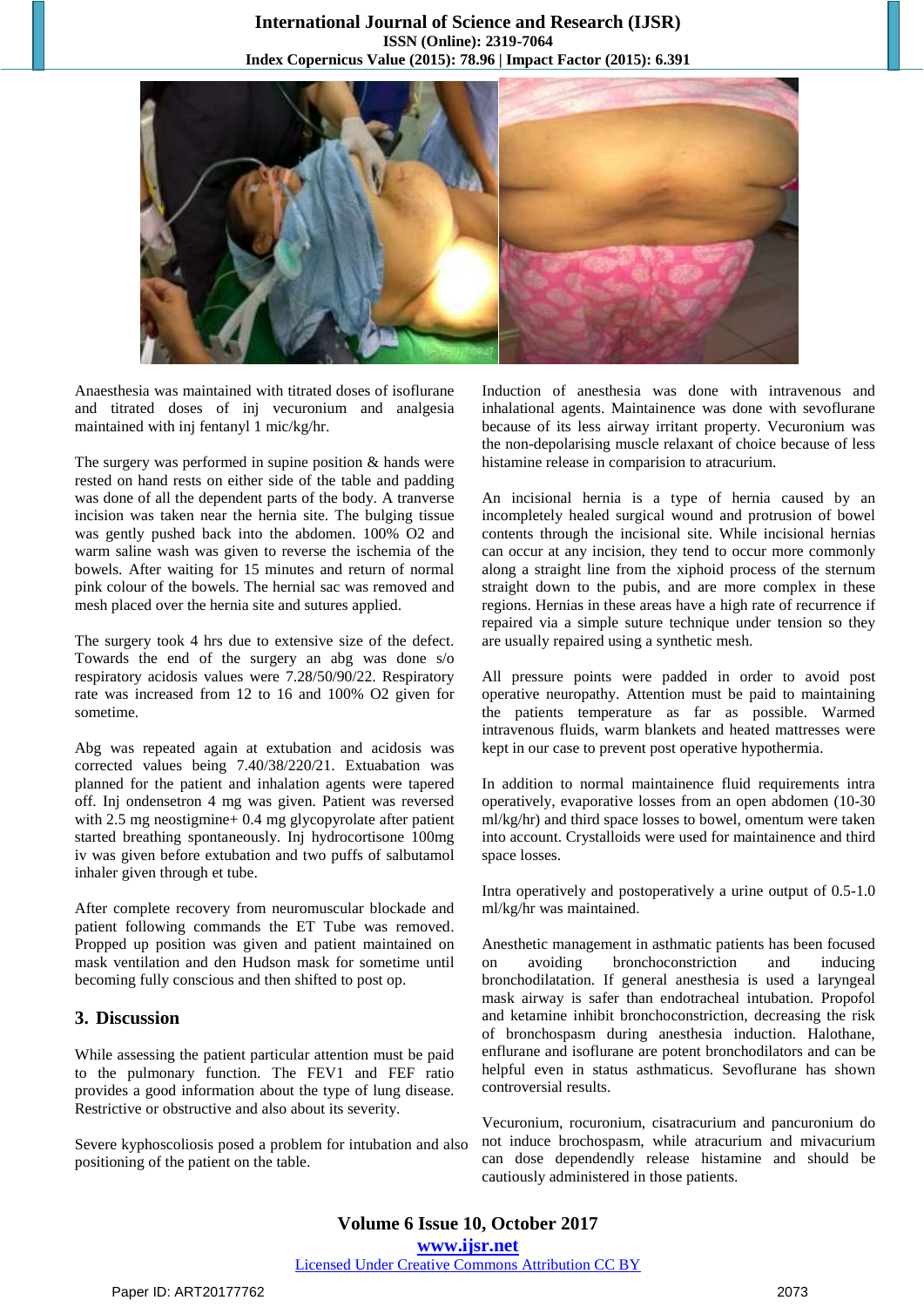

Anaesthesia was maintained with titrated doses of isoflurane and titrated doses of inj vecuronium and analgesia maintained with inj fentanyl 1 mic/kg/hr.

The surgery was performed in supine position & hands were rested on hand rests on either side of the table and padding was done of all the dependent parts of the body. A tranverse incision was taken near the hernia site. The bulging tissue was gently pushed back into the abdomen. 100% O2 and warm saline wash was given to reverse the ischemia of the bowels. After waiting for 15 minutes and return of normal pink colour of the bowels. The hernial sac was removed and mesh placed over the hernia site and sutures applied.

The surgery took 4 hrs due to extensive size of the defect. Towards the end of the surgery an abg was done s/o respiratory acidosis values were 7.28/50/90/22. Respiratory rate was increased from 12 to 16 and 100% O2 given for sometime.

Abg was repeated again at extubation and acidosis was corrected values being 7.40/38/220/21. Extuabation was planned for the patient and inhalation agents were tapered off. Inj ondensetron 4 mg was given. Patient was reversed with 2.5 mg neostigmine + 0.4 mg glycopyrolate after patient started breathing spontaneously. Inj hydrocortisone 100mg iv was given before extubation and two puffs of salbutamol inhaler given through et tube.

After complete recovery from neuromuscular blockade and patient following commands the ET Tube was removed. Propped up position was given and patient maintained on mask ventilation and den Hudson mask for sometime until becoming fully conscious and then shifted to post op.

## **3. Discussion**

While assessing the patient particular attention must be paid to the pulmonary function. The FEV1 and FEF ratio provides a good information about the type of lung disease. Restrictive or obstructive and also about its severity.

Severe kyphoscoliosis posed a problem for intubation and also positioning of the patient on the table.

Induction of anesthesia was done with intravenous and inhalational agents. Maintainence was done with sevoflurane because of its less airway irritant property. Vecuronium was the non-depolarising muscle relaxant of choice because of less histamine release in comparision to atracurium.

An incisional hernia is a type of hernia caused by an incompletely healed surgical wound and protrusion of bowel contents through the incisional site. While incisional hernias can occur at any incision, they tend to occur more commonly along a straight line from the xiphoid process of the sternum straight down to the pubis, and are more complex in these regions. Hernias in these areas have a high rate of recurrence if repaired via a simple suture technique under tension so they are usually repaired using a synthetic mesh.

All pressure points were padded in order to avoid post operative neuropathy. Attention must be paid to maintaining the patients temperature as far as possible. Warmed intravenous fluids, warm blankets and heated mattresses were kept in our case to prevent post operative hypothermia.

In addition to normal maintainence fluid requirements intra operatively, evaporative losses from an open abdomen (10-30 ml/kg/hr) and third space losses to bowel, omentum were taken into account. Crystalloids were used for maintainence and third space losses.

Intra operatively and postoperatively a urine output of 0.5-1.0 ml/kg/hr was maintained.

Anesthetic management in asthmatic patients has been focused on avoiding bronchoconstriction and inducing bronchodilatation. If general anesthesia is used a laryngeal mask airway is safer than endotracheal intubation. Propofol and ketamine inhibit bronchoconstriction, decreasing the risk of bronchospasm during anesthesia induction. Halothane, enflurane and isoflurane are potent bronchodilators and can be helpful even in status asthmaticus. Sevoflurane has shown controversial results.

Vecuronium, rocuronium, cisatracurium and pancuronium do not induce brochospasm, while atracurium and mivacurium can dose dependendly release histamine and should be cautiously administered in those patients.

**Volume 6 Issue 10, October 2017 <www.ijsr.net>** [Licensed Under Creative Commons Attribution CC BY](http://creativecommons.org/licenses/by/4.0/)